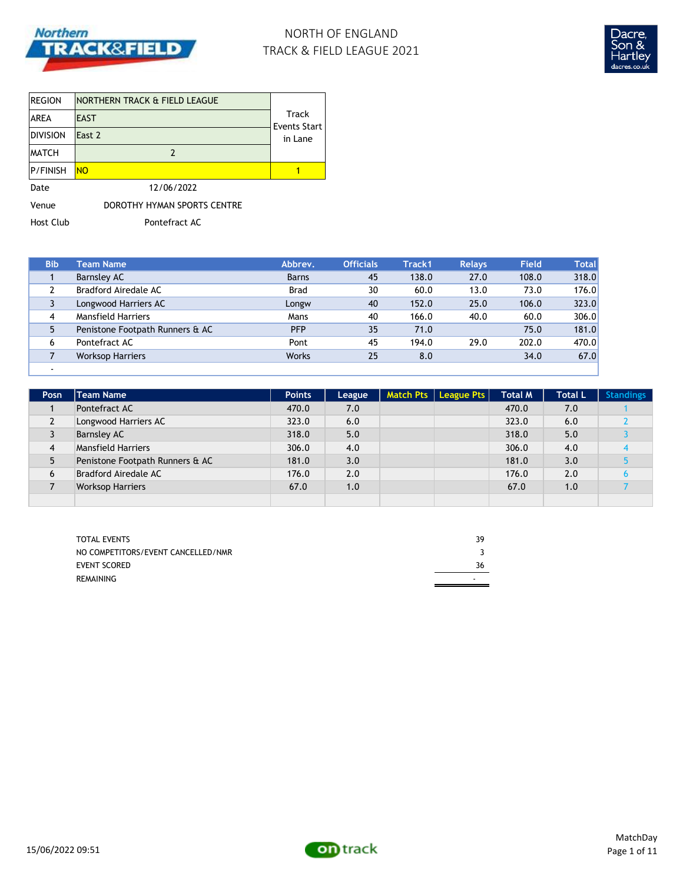

# NORTH OF ENGLAND TRACK & FIELD LEAGUE 2021



| <b>REGION</b>   | NORTHERN TRACK & FIELD LEAGUE |                                |
|-----------------|-------------------------------|--------------------------------|
| <b>AREA</b>     | <b>EAST</b>                   | Track                          |
| <b>DIVISION</b> | East 2                        | <b>Events Start</b><br>in Lane |
| <b>MATCH</b>    |                               |                                |
| <b>P/FINISH</b> | <b>NO</b>                     |                                |
| Date            | 12/06/2022                    |                                |
| Venue           | DOROTHY HYMAN SPORTS CENTRE   |                                |

Host Club Pontefract AC

| <b>Bib</b> | <b>Team Name</b>                | Abbrev.      | <b>Officials</b> | Track1 | <b>Relays</b> | <b>Field</b> | <b>Total</b> |
|------------|---------------------------------|--------------|------------------|--------|---------------|--------------|--------------|
|            | Barnsley AC                     | <b>Barns</b> | 45               | 138.0  | 27.0          | 108.0        | 318.0        |
|            | Bradford Airedale AC            | <b>Brad</b>  | 30               | 60.0   | 13.0          | 73.0         | 176.0        |
|            | Longwood Harriers AC            | Longw        | 40               | 152.0  | 25.0          | 106.0        | 323.0        |
| 4          | <b>Mansfield Harriers</b>       | Mans         | 40               | 166.0  | 40.0          | 60.0         | 306.0        |
| 5.         | Penistone Footpath Runners & AC | <b>PFP</b>   | 35               | 71.0   |               | 75.0         | 181.0        |
| 6          | Pontefract AC                   | Pont         | 45               | 194.0  | 29.0          | 202.0        | 470.0        |
|            | <b>Worksop Harriers</b>         | <b>Works</b> | 25               | 8.0    |               | 34.0         | 67.0         |
|            |                                 |              |                  |        |               |              |              |

| Posn           | <b>Team Name</b>                | <b>Points</b> | League | Match Pts   League Pts | <b>Total M</b> | <b>Total L</b> | <b>Standings</b> |
|----------------|---------------------------------|---------------|--------|------------------------|----------------|----------------|------------------|
|                | Pontefract AC                   | 470.0         | 7.0    |                        | 470.0          | 7.0            |                  |
| $\overline{2}$ | Longwood Harriers AC            | 323.0         | 6.0    |                        | 323.0          | 6.0            |                  |
| 3              | <b>Barnsley AC</b>              | 318.0         | 5.0    |                        | 318.0          | 5.0            |                  |
| 4              | <b>Mansfield Harriers</b>       | 306.0         | 4.0    |                        | 306.0          | 4.0            |                  |
| 5              | Penistone Footpath Runners & AC | 181.0         | 3.0    |                        | 181.0          | 3.0            |                  |
| 6              | Bradford Airedale AC            | 176.0         | 2.0    |                        | 176.0          | 2.0            |                  |
|                | <b>Worksop Harriers</b>         | 67.0          | 1.0    |                        | 67.0           | 1.0            |                  |
|                |                                 |               |        |                        |                |                |                  |

| <b>TOTAL EVENTS</b>                | 39 |
|------------------------------------|----|
| NO COMPETITORS/EVENT CANCELLED/NMR |    |
| EVENT SCORED                       | 36 |
| REMAINING                          | -  |

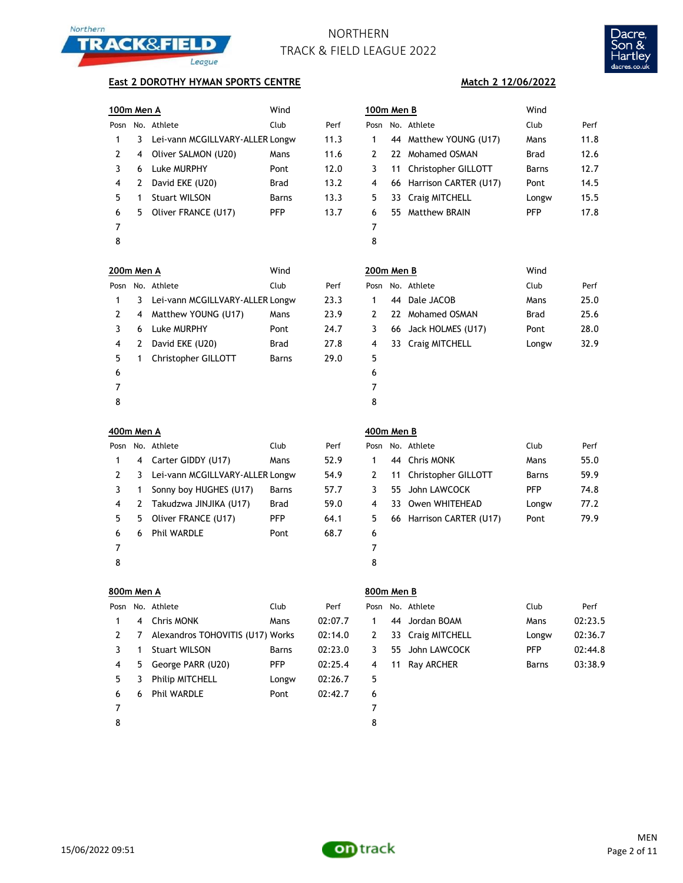



### **East 2 DOROTHY HYMAN SPORTS CENTRE**

| 100m Men A |    |                                 | Wind         |      | 100m Men B |                          | Wind       |
|------------|----|---------------------------------|--------------|------|------------|--------------------------|------------|
| Posn       |    | No. Athlete                     | Club         | Perf |            | Posn No. Athlete         | Club       |
|            | 3. | Lei-vann MCGILLVARY-ALLER Longw |              | 11.3 | 1          | 44 Matthew YOUNG (U17)   | Mans       |
| 2          |    | 4 Oliver SALMON (U20)           | Mans         | 11.6 |            | 22 Mohamed OSMAN         | Brad       |
| 3          | 6  | Luke MURPHY                     | Pont         | 12.0 | 3          | 11 Christopher GILLOTT   | Barns      |
| 4          |    | David EKE (U20)                 | <b>Brad</b>  | 13.2 | 4          | 66 Harrison CARTER (U17) | Pont       |
| 5.         |    | <b>Stuart WILSON</b>            | <b>Barns</b> | 13.3 | 5          | 33 Craig MITCHELL        | Long       |
| 6          | 5. | Oliver FRANCE (U17)             | <b>PFP</b>   | 13.7 | 6          | 55 Matthew BRAIN         | <b>PFP</b> |
|            |    |                                 |              |      | 7          |                          |            |
| 8          |    |                                 |              |      | 8          |                          |            |

| 100m Men A    |    |                                 | Wind        |      | 100m Men B    |                          | Wind       |      |
|---------------|----|---------------------------------|-------------|------|---------------|--------------------------|------------|------|
| Posn          |    | No. Athlete                     | Club        | Perf | Posn          | No. Athlete              | Club       | Perf |
| 1             | 3  | Lei-vann MCGILLVARY-ALLER Longw |             | 11.3 | 1             | 44 Matthew YOUNG (U17)   | Mans       | 11.8 |
| $\mathcal{P}$ | 4  | Oliver SALMON (U20)             | Mans        | 11.6 | $\mathcal{P}$ | 22 Mohamed OSMAN         | Brad       | 12.6 |
|               | 6  | Luke MURPHY                     | Pont        | 12.0 | 3             | 11 Christopher GILLOTT   | Barns      | 12.7 |
| 4             | 2  | David EKE (U20)                 | <b>Brad</b> | 13.2 | 4             | 66 Harrison CARTER (U17) | Pont       | 14.5 |
| 5.            |    | <b>Stuart WILSON</b>            | Barns       | 13.3 | 5.            | 33 Craig MITCHELL        | Longw      | 15.5 |
| 6             | 5. | Oliver FRANCE (U17)             | <b>PFP</b>  | 13.7 | 6             | 55 Matthew BRAIN         | <b>PFP</b> | 17.8 |
| 7             |    |                                 |             |      | 7             |                          |            |      |
| 8             |    |                                 |             |      | 8             |                          |            |      |
|               |    |                                 |             |      |               |                          |            |      |

|   | JUM Men A    |                                   | wina         |      | ۷U             |
|---|--------------|-----------------------------------|--------------|------|----------------|
|   |              | osn No. Athlete                   | Club         | Perf | Pos            |
| 1 |              | 3 Lei-vann MCGILLVARY-ALLER Longw |              | 23.3 | $\mathbf{1}$   |
| 2 |              | 4 Matthew YOUNG (U17)             | Mans         | 23.9 | $\overline{2}$ |
| 3 |              | 6 Luke MURPHY                     | Pont         | 24.7 | 3              |
| 4 |              | 2 David EKE (U20)                 | Brad         | 27.8 | 4              |
| 5 | $\mathbf{1}$ | Christopher GILLOTT               | <b>Barns</b> | 29.0 | 5              |
| 6 |              |                                   |              |      | 6              |
| 7 |              |                                   |              |      | 7              |
| 8 |              |                                   |              |      | 8              |

| 200m Men A |   |                                 | Wind        |      | 200m Men B |     |                      | Wind        |      |
|------------|---|---------------------------------|-------------|------|------------|-----|----------------------|-------------|------|
|            |   | Posn No. Athlete                | Club        | Perf |            |     | Posn No. Athlete     | Club        | Perf |
|            | 3 | Lei-vann MCGILLVARY-ALLER Longw |             | 23.3 |            | 44  | Dale JACOB           | Mans        | 25.0 |
|            | 4 | Matthew YOUNG (U17)             | Mans        | 23.9 |            | 22. | Mohamed OSMAN        | <b>Brad</b> | 25.6 |
|            | 6 | Luke MURPHY                     | Pont        | 24.7 | 3          |     | 66 Jack HOLMES (U17) | Pont        | 28.0 |
| 4          |   | David EKE (U20)                 | <b>Brad</b> | 27.8 | 4          |     | 33 Craig MITCHELL    | Longw       | 32.9 |
| 5.         |   | Christopher GILLOTT             | Barns       | 29.0 | 5          |     |                      |             |      |
| 6          |   |                                 |             |      | 6          |     |                      |             |      |
| ⇁          |   |                                 |             |      | ⇁          |     |                      |             |      |

| 400m Men A |         |       |      | 400m Men B |    |    |
|------------|---------|-------|------|------------|----|----|
| Posn No    | ۸thlata | ≏l⊔h. | Darf | P∩sn       | N∩ | ٨ŧ |

| Posn |    | No. Athlete                       | Club         | Perf | Pos            |
|------|----|-----------------------------------|--------------|------|----------------|
| 1    |    | 4 Carter GIDDY (U17)              | Mans         | 52.9 | 1              |
| 2    |    | 3 Lei-vann MCGILLVARY-ALLER Longw |              | 54.9 | $\overline{2}$ |
| 3    | 1  | Sonny boy HUGHES (U17)            | <b>Barns</b> | 57.7 | 3              |
| 4    |    | 2 Takudzwa JINJIKA (U17)          | Brad         | 59.0 | 4              |
| 5    | 5. | Oliver FRANCE (U17)               | <b>PFP</b>   | 64.1 | 5              |
| 6    | 6  | <b>Phil WARDLE</b>                | Pont         | 68.7 | 6              |
|      |    |                                   |              |      | 7              |
| 8    |    |                                   |              |      | 8              |

| 400m Men B |  |
|------------|--|
|            |  |

|    |   | Posn No. Athlete                | Club        | Perf |    | Posn No. Athlete         | Club       | Perf |
|----|---|---------------------------------|-------------|------|----|--------------------------|------------|------|
|    | 4 | Carter GIDDY (U17)              | Mans        | 52.9 |    | 44 Chris MONK            | Mans       | 55.0 |
| 2  | 3 | Lei-vann MCGILLVARY-ALLER Longw |             | 54.9 | 2  | 11 Christopher GILLOTT   | Barns      | 59.9 |
|    |   | Sonny boy HUGHES (U17)          | Barns       | 57.7 |    | 55 John LAWCOCK          | <b>PFP</b> | 74.8 |
| 4  | 2 | Takudzwa JINJIKA (U17)          | <b>Brad</b> | 59.0 | 4  | 33 Owen WHITEHEAD        | Longw      | 77.2 |
| 5. | 5 | Oliver FRANCE (U17)             | <b>PFP</b>  | 64.1 | 5. | 66 Harrison CARTER (U17) | Pont       | 79.9 |
| 6  | 6 | <b>Phil WARDLE</b>              | Pont        | 68.7 | 6  |                          |            |      |
|    |   |                                 |             |      |    |                          |            |      |
|    |   |                                 |             |      |    |                          |            |      |

| ٠<br>ï<br>w<br>۰, |  |
|-------------------|--|
|                   |  |

|      | 800m Men A |                                  |              |         | 800m Men B   |        |     |
|------|------------|----------------------------------|--------------|---------|--------------|--------|-----|
| Posn |            | No. Athlete                      | Club         | Perf    | Posn No. Ath |        |     |
| 1    | 4          | <b>Chris MONK</b>                | Mans         | 02:07.7 | 1            | 44 Jor |     |
| 2    | 7          | Alexandros TOHOVITIS (U17) Works |              | 02:14.0 | 2            | 33     | Cra |
| 3    | 1          | <b>Stuart WILSON</b>             | <b>Barns</b> | 02:23.0 | 3            | 55     | Jol |
| 4    | 5.         | George PARR (U20)                | <b>PFP</b>   | 02:25.4 | 4            | 11     | Ra  |
| 5    | 3          | <b>Philip MITCHELL</b>           | Longw        | 02:26.7 | 5            |        |     |
| 6    | 6          | <b>Phil WARDLE</b>               | Pont         | 02:42.7 | 6            |        |     |
| 7    |            |                                  |              |         | 7            |        |     |
| 8    |            |                                  |              |         | 8            |        |     |

|                |     | Posn No. Athlete                 | Club       | Perf    |   | Posn No. Athlete  | Club       | Perf    |
|----------------|-----|----------------------------------|------------|---------|---|-------------------|------------|---------|
| $\mathbf{1}$   | 4   | Chris MONK                       | Mans       | 02:07.7 |   | 44 Jordan BOAM    | Mans       | 02:23.5 |
| 2              | - 7 | Alexandros TOHOVITIS (U17) Works |            | 02:14.0 | 2 | 33 Craig MITCHELL | Longw      | 02:36.7 |
|                |     | <b>Stuart WILSON</b>             | Barns      | 02:23.0 | 3 | 55 John LAWCOCK   | <b>PFP</b> | 02:44.8 |
| $\overline{4}$ | 5.  | George PARR (U20)                | <b>PFP</b> | 02:25.4 |   | 4 11 Rav ARCHER   | Barns      | 03:38.9 |
| 5.             | - 3 | <b>Philip MITCHELL</b>           | Longw      | 02:26.7 | 5 |                   |            |         |

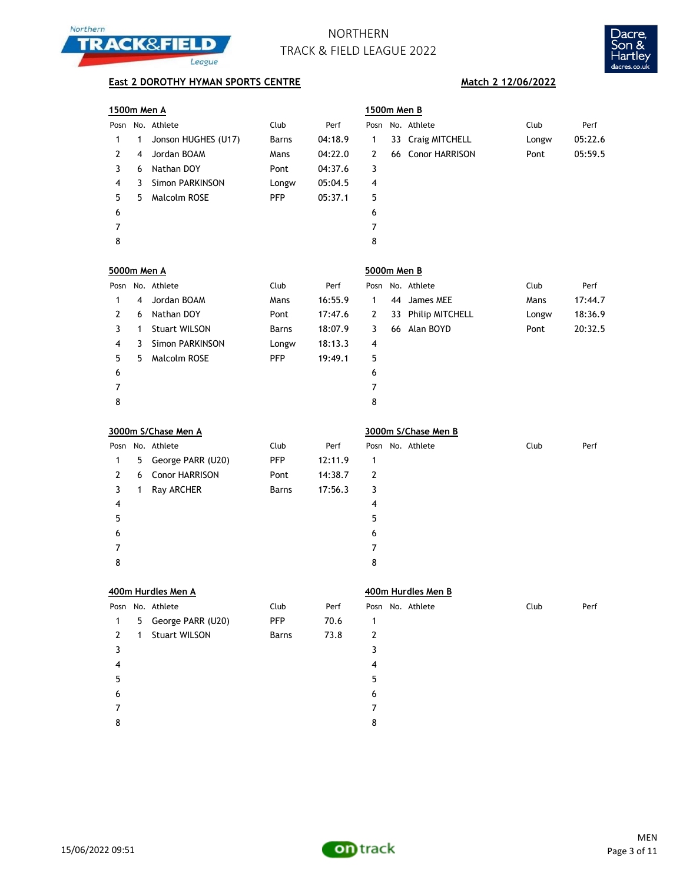



## **East 2 DOROTHY HYMAN SPORTS CENTRE Match 2 12/06/2022**

| 1500m Men A        |   |                        |              |         | 1500m Men B |                     |       |         |
|--------------------|---|------------------------|--------------|---------|-------------|---------------------|-------|---------|
|                    |   | Posn No. Athlete       | Club         | Perf    |             | Posn No. Athlete    | Club  | Perf    |
| 1                  | 1 | Jonson HUGHES (U17)    | Barns        | 04:18.9 | 1           | 33 Craig MITCHELL   | Longw | 05:22.6 |
| 2                  | 4 | Jordan BOAM            | Mans         | 04:22.0 | 2           | 66 Conor HARRISON   | Pont  | 05:59.5 |
| 3                  | 6 | Nathan DOY             | Pont         | 04:37.6 | 3           |                     |       |         |
| 4                  | 3 | <b>Simon PARKINSON</b> | Longw        | 05:04.5 | 4           |                     |       |         |
| 5                  | 5 | Malcolm ROSE           | <b>PFP</b>   | 05:37.1 | 5           |                     |       |         |
| 6                  |   |                        |              |         | 6           |                     |       |         |
| 7                  |   |                        |              |         | 7           |                     |       |         |
| 8                  |   |                        |              |         | 8           |                     |       |         |
| <u>5000m Men A</u> |   |                        |              |         | 5000m Men B |                     |       |         |
|                    |   | Posn No. Athlete       | Club         | Perf    |             | Posn No. Athlete    | Club  | Perf    |
| 1                  | 4 | Jordan BOAM            | Mans         | 16:55.9 | 1           | 44 James MEE        | Mans  | 17:44.7 |
| 2                  | 6 | Nathan DOY             | Pont         | 17:47.6 | 2           | 33 Philip MITCHELL  | Longw | 18:36.9 |
| 3                  | 1 | <b>Stuart WILSON</b>   | <b>Barns</b> | 18:07.9 | 3           | 66 Alan BOYD        | Pont  | 20:32.5 |
| 4                  | 3 | <b>Simon PARKINSON</b> | Longw        | 18:13.3 | 4           |                     |       |         |
| 5                  | 5 | Malcolm ROSE           | <b>PFP</b>   | 19:49.1 | 5           |                     |       |         |
| 6                  |   |                        |              |         | 6           |                     |       |         |
| 7                  |   |                        |              |         | 7           |                     |       |         |
| 8                  |   |                        |              |         | 8           |                     |       |         |
|                    |   | 3000m S/Chase Men A    |              |         |             | 3000m S/Chase Men B |       |         |
|                    |   | Posn No. Athlete       | Club         | Perf    |             | Posn No. Athlete    | Club  | Perf    |
| 1                  | 5 | George PARR (U20)      | <b>PFP</b>   | 12:11.9 | 1           |                     |       |         |
| 2                  | 6 | Conor HARRISON         | Pont         | 14:38.7 | 2           |                     |       |         |
| 3                  | 1 | Ray ARCHER             | <b>Barns</b> | 17:56.3 | 3           |                     |       |         |
| 4                  |   |                        |              |         | 4           |                     |       |         |
| 5                  |   |                        |              |         | 5           |                     |       |         |
| 6                  |   |                        |              |         | 6           |                     |       |         |
| 7                  |   |                        |              |         | 7           |                     |       |         |
| 8                  |   |                        |              |         | 8           |                     |       |         |
|                    |   | 400m Hurdles Men A     |              |         |             | 400m Hurdles Men B  |       |         |
|                    |   | Posn No. Athlete       | Club         | Perf    |             | Posn No. Athlete    | Club  | Perf    |
| 1                  | 5 | George PARR (U20)      | <b>PFP</b>   | 70.6    | 1           |                     |       |         |
| 2                  | 1 | <b>Stuart WILSON</b>   | Barns        | 73.8    | 2           |                     |       |         |
| 3                  |   |                        |              |         | 3           |                     |       |         |
| 4                  |   |                        |              |         | 4           |                     |       |         |
| 5                  |   |                        |              |         | 5           |                     |       |         |



 7 8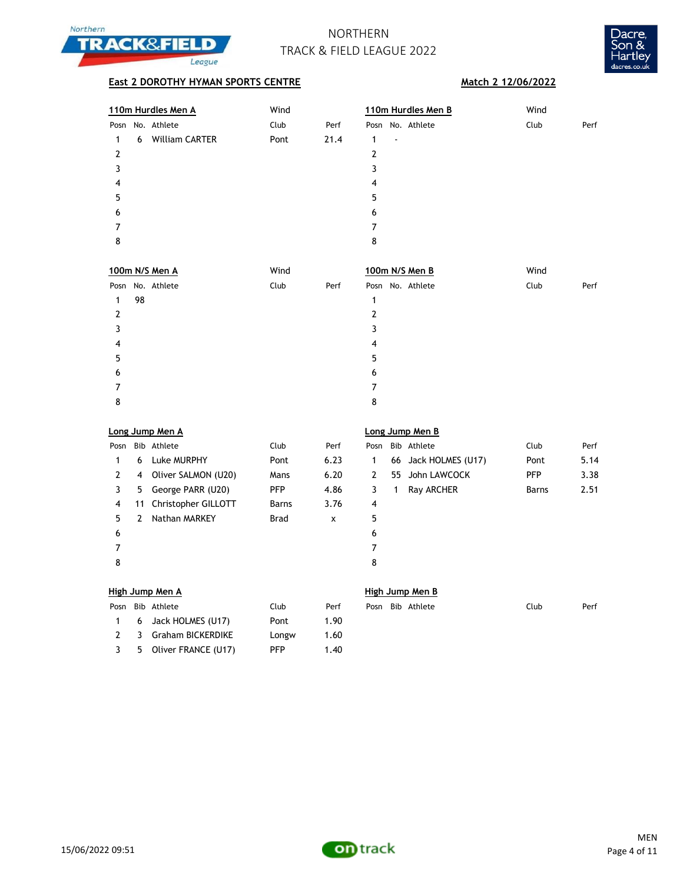



| 110m Hurdles Men A         | Wind |      | 110m Hurdles Men B | Wind         |
|----------------------------|------|------|--------------------|--------------|
| Posn No. Athlete           | Club | Perf | Posn No. Athlete   | Club<br>Perf |
| <b>William CARTER</b><br>6 | Pont | 21.4 | ٠                  |              |
| 2                          |      |      |                    |              |
| 3                          |      |      | 3                  |              |
| 4                          |      |      | 4                  |              |
| 5                          |      |      | 5                  |              |
| 6                          |      |      | 6                  |              |
|                            |      |      | 7                  |              |
| 8                          |      |      | 8                  |              |
|                            |      |      |                    |              |

| 100m N/S Men A   | Wind         | 100m N/S Men B   | Wind         |
|------------------|--------------|------------------|--------------|
| Posn No. Athlete | Club<br>Perf | Posn No. Athlete | Club<br>Perf |
| 98<br>1          |              | 1                |              |
| 2                |              | 2                |              |
|                  |              | 3                |              |
| 4                |              | 4                |              |
| 5                |              | 5                |              |
| 6                |              | 6                |              |
| 7                |              | 7                |              |
| 8                |              | 8                |              |

|      | Long Jump Men A |                     |              |      |                 | Long Jump Men B |                      |            |      |  |
|------|-----------------|---------------------|--------------|------|-----------------|-----------------|----------------------|------------|------|--|
| Posn |                 | Bib Athlete         | Club         | Perf | Posn            |                 | Bib Athlete          | Club       | Perf |  |
|      | 6               | Luke MURPHY         | Pont         | 6.23 | 1               |                 | 66 Jack HOLMES (U17) | Pont       | 5.14 |  |
| 2    | 4               | Oliver SALMON (U20) | Mans         | 6.20 | 2               | 55              | John LAWCOCK         | <b>PFP</b> | 3.38 |  |
| 3    | 5.              | George PARR (U20)   | <b>PFP</b>   | 4.86 | 3               |                 | Ray ARCHER           | Barns      | 2.51 |  |
| 4    | 11              | Christopher GILLOTT | <b>Barns</b> | 3.76 | $\overline{4}$  |                 |                      |            |      |  |
| 5.   |                 | Nathan MARKEY       | <b>Brad</b>  | x    | 5               |                 |                      |            |      |  |
| 6    |                 |                     |              |      | 6               |                 |                      |            |      |  |
| 7    |                 |                     |              |      | 7               |                 |                      |            |      |  |
| 8    |                 |                     |              |      | 8               |                 |                      |            |      |  |
|      |                 |                     |              |      |                 |                 |                      |            |      |  |
|      |                 | High Jump Men A     |              |      | High Jump Men B |                 |                      |            |      |  |

|  | High Jump Men A  |  |
|--|------------------|--|
|  | Doon Bib Athlata |  |

|    | Posn Bib Athlete      | Club  | Perf |
|----|-----------------------|-------|------|
|    | 6 Jack HOLMES (U17)   | Pont  | 1.90 |
| -2 | 3 Graham BICKERDIKE   | Longw | 1.60 |
| 3  | 5 Oliver FRANCE (U17) | PFP   | 1.40 |

| Posn Bib Athlete | Club | Perf | Posn Bib Athlete | Club | Perf |
|------------------|------|------|------------------|------|------|



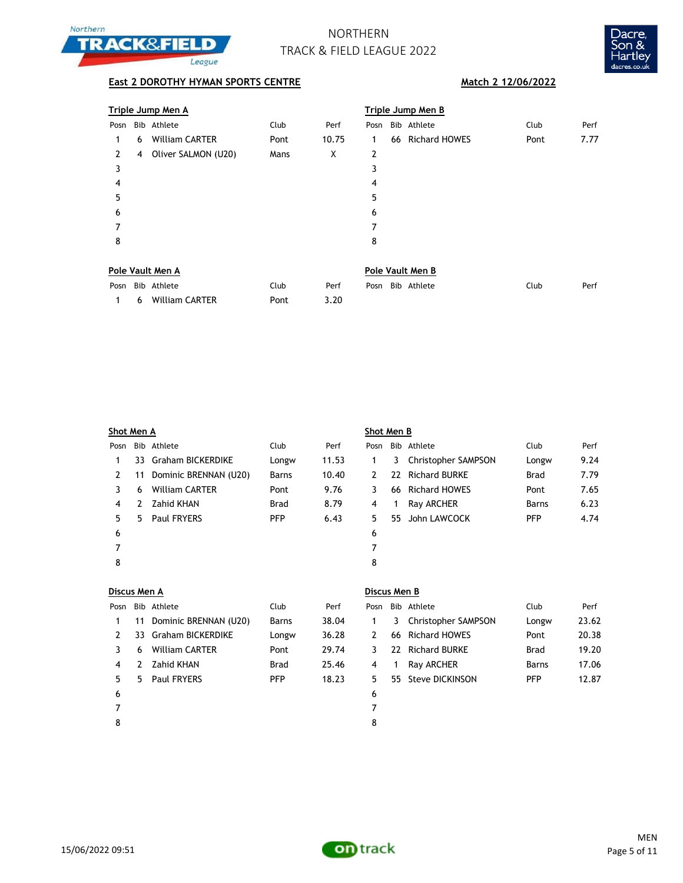



## **East 2 DOROTHY HYMAN SPORTS CENTRE Match 2 12/06/2022**

|                                                                                                                 |   | Triple Jump Men A     |      |       | <b>Triple Jump Men B</b> |  |                  |      |      |  |
|-----------------------------------------------------------------------------------------------------------------|---|-----------------------|------|-------|--------------------------|--|------------------|------|------|--|
| Posn                                                                                                            |   | Bib Athlete           | Club | Perf  | Posn                     |  | Bib Athlete      | Club | Perf |  |
| 1                                                                                                               | 6 | <b>William CARTER</b> | Pont | 10.75 | 1                        |  | 66 Richard HOWES | Pont | 7.77 |  |
| 2                                                                                                               | 4 | Oliver SALMON (U20)   | Mans | X     | 2                        |  |                  |      |      |  |
| 3                                                                                                               |   |                       |      |       | 3                        |  |                  |      |      |  |
| 4                                                                                                               |   |                       |      |       | 4                        |  |                  |      |      |  |
| 5                                                                                                               |   |                       |      |       | 5                        |  |                  |      |      |  |
| 6                                                                                                               |   |                       |      |       | 6                        |  |                  |      |      |  |
| 7                                                                                                               |   |                       |      |       | 7                        |  |                  |      |      |  |
| 8                                                                                                               |   |                       |      |       | 8                        |  |                  |      |      |  |
|                                                                                                                 |   |                       |      |       |                          |  |                  |      |      |  |
| the contract of the contract of the contract of the contract of the contract of the contract of the contract of |   |                       |      |       |                          |  |                  |      |      |  |

| Pole Vault Men A |                    |      |      |  | Pole Vault Men B |                  |      |      |  |  |
|------------------|--------------------|------|------|--|------------------|------------------|------|------|--|--|
|                  | Posn Bib Athlete   | Club | Perf |  |                  | Posn Bib Athlete | Club | Perf |  |  |
|                  | 1 6 William CARTER | Pont | 3.20 |  |                  |                  |      |      |  |  |

| Shot Men A |    |                          |              | Shot Men B |      |    |                     |            |      |
|------------|----|--------------------------|--------------|------------|------|----|---------------------|------------|------|
| Posn       |    | Bib Athlete              | Club         | Perf       | Posn |    | Bib Athlete         | Club       | Perf |
|            | 33 | <b>Graham BICKERDIKE</b> | Longw        | 11.53      | 1    | 3  | Christopher SAMPSON | Longw      | 9.24 |
| 2          | 11 | Dominic BRENNAN (U20)    | <b>Barns</b> | 10.40      | 2    |    | 22 Richard BURKE    | Brad       | 7.79 |
| 3          | 6  | <b>William CARTER</b>    | Pont         | 9.76       | 3    |    | 66 Richard HOWES    | Pont       | 7.65 |
| 4          | 2  | Zahid KHAN               | <b>Brad</b>  | 8.79       | 4    | 1  | Ray ARCHER          | Barns      | 6.23 |
| 5.         | 5. | <b>Paul FRYERS</b>       | <b>PFP</b>   | 6.43       | 5.   | 55 | John LAWCOCK        | <b>PFP</b> | 4.74 |
| 6          |    |                          |              |            | 6    |    |                     |            |      |
|            |    |                          |              |            | 7    |    |                     |            |      |
| 8          |    |                          |              |            | 8    |    |                     |            |      |
|            |    |                          |              |            |      |    |                     |            |      |

|--|

| Posn |    | Bib Athlete              | Club         | Perf  | Pos            |
|------|----|--------------------------|--------------|-------|----------------|
| 1    |    | 11 Dominic BRENNAN (U20) | <b>Barns</b> | 38.04 | 1              |
| 2    |    | 33 Graham BICKERDIKE     | Longw        | 36.28 | $\overline{2}$ |
| 3    | 6  | <b>William CARTER</b>    | Pont         | 29.74 | 3              |
| 4    |    | 2 Zahid KHAN             | <b>Brad</b>  | 25.46 | 4              |
| 5    | 5. | <b>Paul FRYERS</b>       | <b>PFP</b>   | 18.23 | 5              |
| 6    |    |                          |              |       | 6              |
|      |    |                          |              |       | 7              |

## **Discus Men B**

| Posn |    | Bib Athlete           | Club        | Perf  | Posn | Bib Athlete           | Club        | Perf  |
|------|----|-----------------------|-------------|-------|------|-----------------------|-------------|-------|
|      | 11 | Dominic BRENNAN (U20) | Barns       | 38.04 |      | 3 Christopher SAMPSON | Longw       | 23.62 |
|      |    | 33 Graham BICKERDIKE  | Longw       | 36.28 |      | 66 Richard HOWES      | Pont        | 20.38 |
|      | 6  | <b>William CARTER</b> | Pont        | 29.74 |      | 22 Richard BURKE      | <b>Brad</b> | 19.20 |
| 4    | 2  | Zahid KHAN            | <b>Brad</b> | 25.46 |      | Ray ARCHER            | Barns       | 17.06 |
| 5.   | 5. | Paul FRYERS           | <b>PFP</b>  | 18.23 | 5.   | 55 Steve DICKINSON    | <b>PFP</b>  | 12.87 |
| -6   |    |                       |             |       | 6    |                       |             |       |

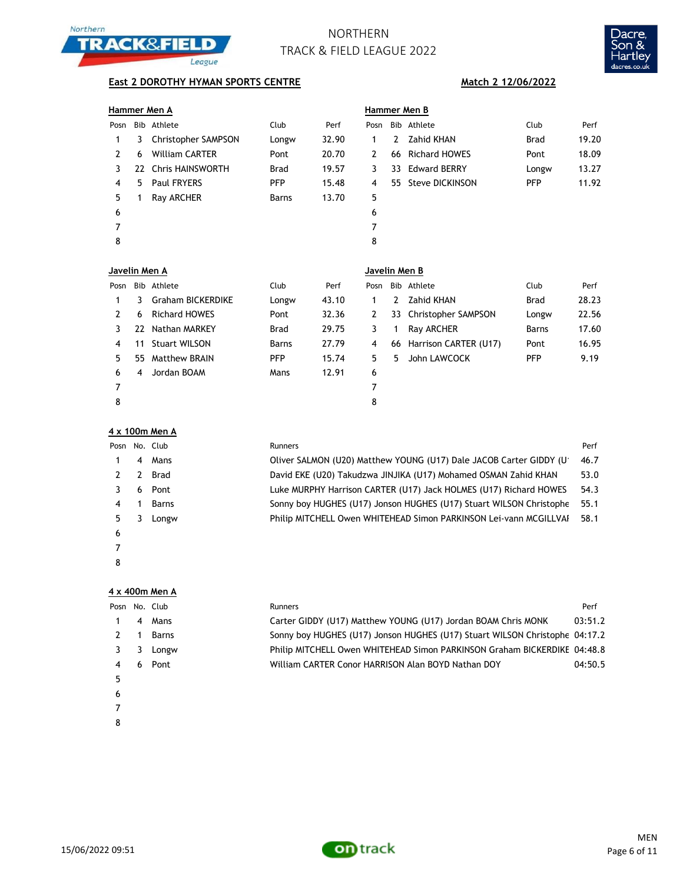



### **East 2 DOROTHY HYMAN SPORTS CENTRE**

|  | <b>Hammer Men A</b> |  |
|--|---------------------|--|
|--|---------------------|--|

|               |    | Hammer Men A          |             |       | Hammer Men B |   |                    |            |       |  |  |
|---------------|----|-----------------------|-------------|-------|--------------|---|--------------------|------------|-------|--|--|
| Posn          |    | Bib Athlete           | Club        | Perf  | Posn         |   | Bib Athlete        | Club       | Perf  |  |  |
| 1             | 3  | Christopher SAMPSON   | Longw       | 32.90 | 1            | 2 | Zahid KHAN         | Brad       | 19.20 |  |  |
| $\mathcal{P}$ | 6  | <b>William CARTER</b> | Pont        | 20.70 | 2            |   | 66 Richard HOWES   | Pont       | 18.09 |  |  |
|               |    | 22 Chris HAINSWORTH   | <b>Brad</b> | 19.57 | 3            |   | 33 Edward BERRY    | Longw      | 13.27 |  |  |
| 4             | 5. | <b>Paul FRYERS</b>    | <b>PFP</b>  | 15.48 | 4            |   | 55 Steve DICKINSON | <b>PFP</b> | 11.92 |  |  |
| 5.            |    | Ray ARCHER            | Barns       | 13.70 | 5            |   |                    |            |       |  |  |
| 6             |    |                       |             |       | 6            |   |                    |            |       |  |  |
|               |    |                       |             |       | 7            |   |                    |            |       |  |  |
| 8             |    |                       |             |       | 8            |   |                    |            |       |  |  |

| Match 2 12/06/2022 |  |  |  |
|--------------------|--|--|--|
|                    |  |  |  |

|     | <u>ammer Men B</u> |            |       |
|-----|--------------------|------------|-------|
| วรท | Bib Athlete        | Club       | Perf  |
| 1   | 2     Zahid KHAN   | Brad       | 19.20 |
| 2   | 66 Richard HOWES   | Pont       | 18.09 |
| 3   | 33 Edward BERRY    | Longw      | 13.27 |
| 4   | 55 Steve DICKINSON | <b>PFP</b> | 11.92 |
| 5   |                    |            |       |
| 6   |                    |            |       |
| 7   |                    |            |       |
| 8   |                    |            |       |
|     |                    |            |       |

|      | Javelin Men A |                          |       |       |      | Javelin Men B |                        |             |       |  |  |
|------|---------------|--------------------------|-------|-------|------|---------------|------------------------|-------------|-------|--|--|
| Posn |               | Bib Athlete              | Club  | Perf  | Posn |               | Bib Athlete            | Club        | Perf  |  |  |
|      | 3.            | <b>Graham BICKERDIKE</b> | Longw | 43.10 | 1    | 2             | Zahid KHAN             | <b>Brad</b> | 28.23 |  |  |
| 2    | 6             | <b>Richard HOWES</b>     | Pont  | 32.36 | 2    |               | 33 Christopher SAMPSON | Longw       | 22.56 |  |  |
|      | 77            | Nathan MARKEY            | Brad  | 29.75 | 3    |               | Ray ARCHER             | Barns       | 17.60 |  |  |
| 4    | 11            | <b>Stuart WILSON</b>     | Barns | 27.79 | 4    | 66            | Harrison CARTER (U17)  | Pont        | 16.95 |  |  |
| 5.   | 55.           | Matthew BRAIN            | PFP   | 15.74 | 5    | 5             | John LAWCOCK           | <b>PFP</b>  | 9.19  |  |  |
| 6    | 4             | Jordan BOAM              | Mans  | 12.91 | 6    |               |                        |             |       |  |  |
| 7    |               |                          |       |       | 7    |               |                        |             |       |  |  |
| 8    |               |                          |       |       | 8    |               |                        |             |       |  |  |

### **4 x 100m Men A**

| Posn |   | No. Club | <b>Runners</b>                                                      | Perf |
|------|---|----------|---------------------------------------------------------------------|------|
|      | 4 | Mans     | Oliver SALMON (U20) Matthew YOUNG (U17) Dale JACOB Carter GIDDY (U  | 46.7 |
|      | 2 | Brad     | David EKE (U20) Takudzwa JINJIKA (U17) Mohamed OSMAN Zahid KHAN     | 53.0 |
|      | 6 | Pont     | Luke MURPHY Harrison CARTER (U17) Jack HOLMES (U17) Richard HOWES   | 54.3 |
| 4    |   | Barns    | Sonny boy HUGHES (U17) Jonson HUGHES (U17) Stuart WILSON Christophe | 55.1 |
| 5.   |   | Longw    | Philip MITCHELL Owen WHITEHEAD Simon PARKINSON Lei-vann MCGILLVAI   | 58.1 |
| 6    |   |          |                                                                     |      |
|      |   |          |                                                                     |      |
| 8    |   |          |                                                                     |      |

### **4 x 400m Men A**

|   |   | Posn No. Club | <b>Runners</b>                                                              | Perf    |
|---|---|---------------|-----------------------------------------------------------------------------|---------|
|   | 4 | Mans          | Carter GIDDY (U17) Matthew YOUNG (U17) Jordan BOAM Chris MONK               | 03:51.2 |
|   |   | Barns         | Sonny boy HUGHES (U17) Jonson HUGHES (U17) Stuart WILSON Christophe 04:17.2 |         |
|   |   | Longw         | Philip MITCHELL Owen WHITEHEAD Simon PARKINSON Graham BICKERDIKE 04:48.8    |         |
|   | 6 | Pont          | William CARTER Conor HARRISON Alan BOYD Nathan DOY                          | 04:50.5 |
| 5 |   |               |                                                                             |         |
| 6 |   |               |                                                                             |         |
|   |   |               |                                                                             |         |

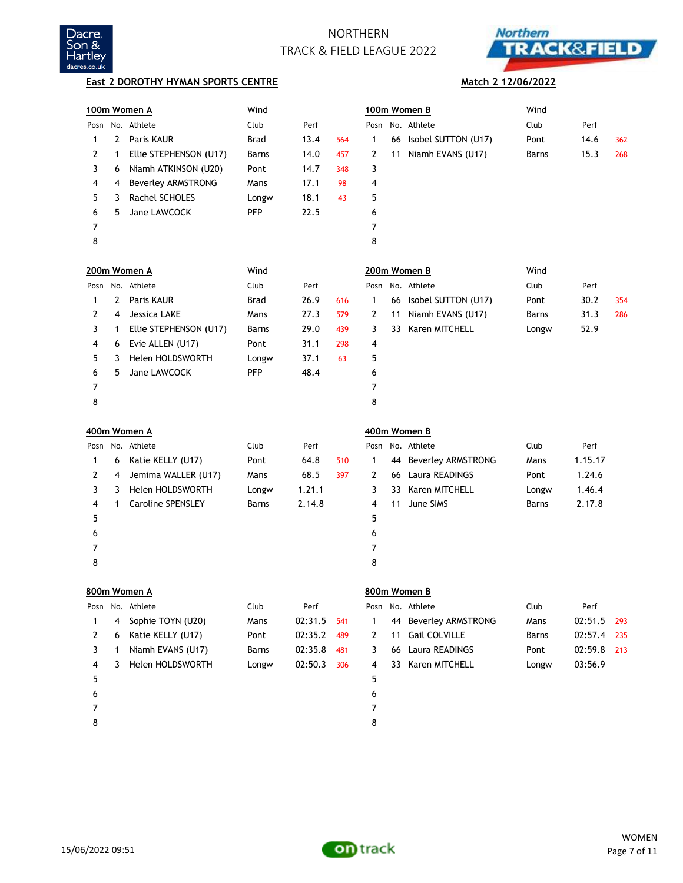



### **East 2 DOROTHY HYMAN SPORTS CENTRE**

### **Match 2 12/06/2022**

|   |   | 100m Women A              | Wind        |         |     |              |    | 100m Women B           | Wind  |         |     |
|---|---|---------------------------|-------------|---------|-----|--------------|----|------------------------|-------|---------|-----|
|   |   | Posn No. Athlete          | Club        | Perf    |     |              |    | Posn No. Athlete       | Club  | Perf    |     |
| 1 | 2 | Paris KAUR                | <b>Brad</b> | 13.4    | 564 | 1            |    | 66 Isobel SUTTON (U17) | Pont  | 14.6    | 362 |
| 2 | 1 | Ellie STEPHENSON (U17)    | Barns       | 14.0    | 457 | 2            |    | 11 Niamh EVANS (U17)   | Barns | 15.3    | 268 |
| 3 | 6 | Niamh ATKINSON (U20)      | Pont        | 14.7    | 348 | 3            |    |                        |       |         |     |
| 4 | 4 | <b>Beverley ARMSTRONG</b> | Mans        | 17.1    | 98  | 4            |    |                        |       |         |     |
| 5 | 3 | Rachel SCHOLES            | Longw       | 18.1    | 43  | 5            |    |                        |       |         |     |
| 6 | 5 | Jane LAWCOCK              | <b>PFP</b>  | 22.5    |     | 6            |    |                        |       |         |     |
| 7 |   |                           |             |         |     | 7            |    |                        |       |         |     |
| 8 |   |                           |             |         |     | 8            |    |                        |       |         |     |
|   |   | 200m Women A              | Wind        |         |     |              |    | 200m Women B           | Wind  |         |     |
|   |   | Posn No. Athlete          | Club        | Perf    |     |              |    | Posn No. Athlete       | Club  | Perf    |     |
| 1 | 2 | Paris KAUR                | <b>Brad</b> | 26.9    | 616 | 1            |    | 66 Isobel SUTTON (U17) | Pont  | 30.2    | 354 |
| 2 | 4 | Jessica LAKE              | Mans        | 27.3    | 579 | 2            | 11 | Niamh EVANS (U17)      | Barns | 31.3    | 286 |
| 3 | 1 | Ellie STEPHENSON (U17)    | Barns       | 29.0    | 439 | 3            |    | 33 Karen MITCHELL      | Longw | 52.9    |     |
| 4 | 6 | Evie ALLEN (U17)          | Pont        | 31.1    | 298 | 4            |    |                        |       |         |     |
| 5 | 3 | <b>Helen HOLDSWORTH</b>   | Longw       | 37.1    | 63  | 5            |    |                        |       |         |     |
| 6 | 5 | Jane LAWCOCK              | <b>PFP</b>  | 48.4    |     | 6            |    |                        |       |         |     |
| 7 |   |                           |             |         |     | 7            |    |                        |       |         |     |
| 8 |   |                           |             |         |     | 8            |    |                        |       |         |     |
|   |   | 400m Women A              |             |         |     |              |    | 400m Women B           |       |         |     |
|   |   | Posn No. Athlete          | Club        | Perf    |     |              |    | Posn No. Athlete       | Club  | Perf    |     |
| 1 | 6 | Katie KELLY (U17)         | Pont        | 64.8    | 510 | 1            |    | 44 Beverley ARMSTRONG  | Mans  | 1.15.17 |     |
| 2 | 4 | Jemima WALLER (U17)       | Mans        | 68.5    | 397 | 2            |    | 66 Laura READINGS      | Pont  | 1.24.6  |     |
| 3 | 3 | Helen HOLDSWORTH          | Longw       | 1.21.1  |     | 3            |    | 33 Karen MITCHELL      | Longw | 1.46.4  |     |
| 4 | 1 | <b>Caroline SPENSLEY</b>  | Barns       | 2.14.8  |     | 4            | 11 | June SIMS              | Barns | 2.17.8  |     |
| 5 |   |                           |             |         |     | 5            |    |                        |       |         |     |
| 6 |   |                           |             |         |     | 6            |    |                        |       |         |     |
| 7 |   |                           |             |         |     | 7            |    |                        |       |         |     |
| 8 |   |                           |             |         |     | 8            |    |                        |       |         |     |
|   |   | 800m Women A              |             |         |     |              |    | 800m Women B           |       |         |     |
|   |   | Posn No. Athlete          | Club        | Perf    |     |              |    | Posn No. Athlete       | Club  | Perf    |     |
| 1 | 4 | Sophie TOYN (U20)         | Mans        | 02:31.5 | 541 | 1            |    | 44 Beverley ARMSTRONG  | Mans  | 02:51.5 | 293 |
| 2 | 6 | Katie KELLY (U17)         | Pont        | 02:35.2 | 489 | $\mathbf{2}$ | 11 | Gail COLVILLE          | Barns | 02:57.4 | 235 |
| 3 | 1 | Niamh EVANS (U17)         | Barns       | 02:35.8 | 481 | 3            | 66 | Laura READINGS         | Pont  | 02:59.8 | 213 |
| 4 | 3 | Helen HOLDSWORTH          | Longw       | 02:50.3 | 306 | 4            |    | 33 Karen MITCHELL      | Longw | 03:56.9 |     |
| 5 |   |                           |             |         |     | 5            |    |                        |       |         |     |
| 6 |   |                           |             |         |     | 6            |    |                        |       |         |     |
|   |   |                           |             |         |     |              |    |                        |       |         |     |
| 7 |   |                           |             |         |     | 7            |    |                        |       |         |     |

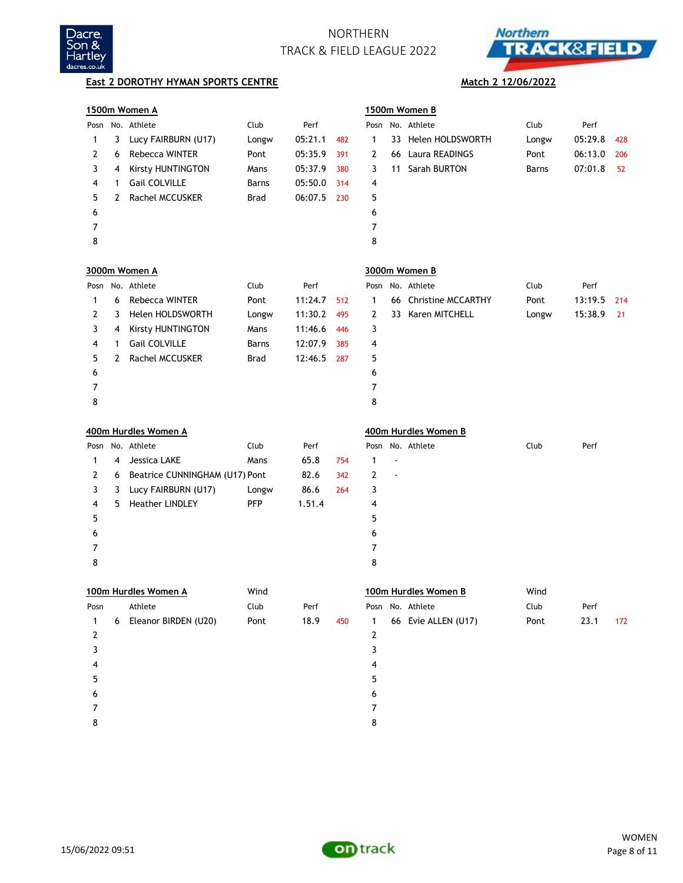



|      |              | 1500m Women A                  |            |         |     |                |    | 1500m Women B        |       |         |     |
|------|--------------|--------------------------------|------------|---------|-----|----------------|----|----------------------|-------|---------|-----|
|      |              | Posn No. Athlete               | Club       | Perf    |     | Posn           |    | No. Athlete          | Club  | Perf    |     |
| 1    | 3            | Lucy FAIRBURN (U17)            | Longw      | 05:21.1 | 482 | 1              | 33 | Helen HOLDSWORTH     | Longw | 05:29.8 | 428 |
| 2    | 6            | <b>Rebecca WINTER</b>          | Pont       | 05:35.9 | 391 | 2              | 66 | Laura READINGS       | Pont  | 06:13.0 | 206 |
| 3    | 4            | Kirsty HUNTINGTON              | Mans       | 05:37.9 | 380 | 3              | 11 | Sarah BURTON         | Barns | 07:01.8 | 52  |
| 4    | 1            | Gail COLVILLE                  | Barns      | 05:50.0 | 314 | 4              |    |                      |       |         |     |
| 5    | 2            | <b>Rachel MCCUSKER</b>         | Brad       | 06:07.5 | 230 | 5              |    |                      |       |         |     |
| 6    |              |                                |            |         |     | 6              |    |                      |       |         |     |
| 7    |              |                                |            |         |     | $\overline{7}$ |    |                      |       |         |     |
| 8    |              |                                |            |         |     | 8              |    |                      |       |         |     |
|      |              | 3000m Women A                  |            |         |     |                |    | 3000m Women B        |       |         |     |
| Posn |              | No. Athlete                    | Club       | Perf    |     |                |    | Posn No. Athlete     | Club  | Perf    |     |
| 1    | 6            | Rebecca WINTER                 | Pont       | 11:24.7 | 512 | 1              | 66 | Christine MCCARTHY   | Pont  | 13:19.5 | 214 |
| 2    | 3            | Helen HOLDSWORTH               | Longw      | 11:30.2 | 495 | 2              |    | 33 Karen MITCHELL    | Longw | 15:38.9 | 21  |
| 3    | 4            | <b>Kirsty HUNTINGTON</b>       | Mans       | 11:46.6 | 446 | 3              |    |                      |       |         |     |
| 4    | 1            | Gail COLVILLE                  | Barns      | 12:07.9 | 385 | 4              |    |                      |       |         |     |
| 5    | $\mathbf{2}$ | Rachel MCCUSKER                | Brad       | 12:46.5 | 287 | 5              |    |                      |       |         |     |
| 6    |              |                                |            |         |     | 6              |    |                      |       |         |     |
| 7    |              |                                |            |         |     | 7              |    |                      |       |         |     |
| 8    |              |                                |            |         |     | 8              |    |                      |       |         |     |
|      |              | 400m Hurdles Women A           |            |         |     |                |    | 400m Hurdles Women B |       |         |     |
| Posn |              | No. Athlete                    | Club       | Perf    |     |                |    | Posn No. Athlete     | Club  | Perf    |     |
| 1    | 4            | Jessica LAKE                   | Mans       | 65.8    | 754 | 1              |    |                      |       |         |     |
| 2    | 6            | Beatrice CUNNINGHAM (U17) Pont |            | 82.6    | 342 | 2              |    |                      |       |         |     |
| 3    | 3            | Lucy FAIRBURN (U17)            | Longw      | 86.6    | 264 | 3              |    |                      |       |         |     |
| 4    | 5.           | <b>Heather LINDLEY</b>         | <b>PFP</b> | 1.51.4  |     | 4              |    |                      |       |         |     |
| 5    |              |                                |            |         |     | 5              |    |                      |       |         |     |
| 6    |              |                                |            |         |     | 6              |    |                      |       |         |     |
| 7    |              |                                |            |         |     | 7              |    |                      |       |         |     |
| 8    |              |                                |            |         |     | 8              |    |                      |       |         |     |
|      |              | 100m Hurdles Women A           | Wind       |         |     |                |    | 100m Hurdles Women B | Wind  |         |     |
| Posn |              | Athlete                        | Club       | Perf    |     |                |    | Posn No. Athlete     | Club  | Perf    |     |
| 1    | 6            | Eleanor BIRDEN (U20)           | Pont       | 18.9    | 450 | 1              |    | 66 Evie ALLEN (U17)  | Pont  | 23.1    | 172 |
| 2    |              |                                |            |         |     | 2              |    |                      |       |         |     |
| 3    |              |                                |            |         |     | 3              |    |                      |       |         |     |
| 4    |              |                                |            |         |     | 4              |    |                      |       |         |     |
| 5    |              |                                |            |         |     | 5              |    |                      |       |         |     |
| 6    |              |                                |            |         |     | 6              |    |                      |       |         |     |
| 7    |              |                                |            |         |     | 7              |    |                      |       |         |     |
| 8    |              |                                |            |         |     | 8              |    |                      |       |         |     |

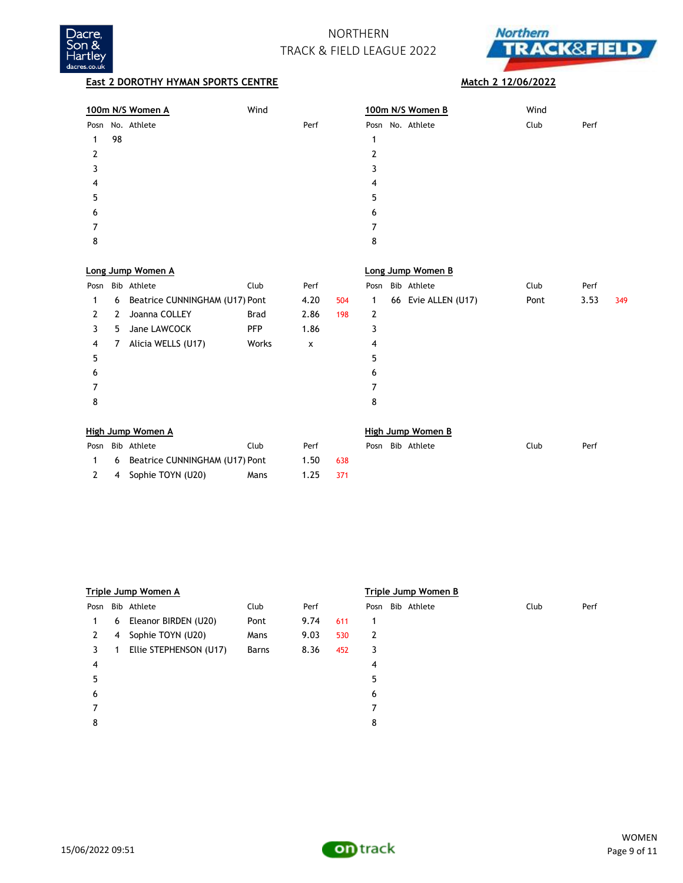



| 100m N/S Women A | Wind | 100m N/S Women B | Wind         |  |
|------------------|------|------------------|--------------|--|
| Posn No. Athlete | Perf | Posn No. Athlete | Club<br>Perf |  |
| 98               |      |                  |              |  |
|                  |      |                  |              |  |
|                  |      |                  |              |  |
| 4                |      | 4                |              |  |
| 5                |      | 5                |              |  |
| 6                |      | 6                |              |  |
|                  |      | ⇁                |              |  |
| 8                |      | 8                |              |  |
|                  |      |                  |              |  |

|      |    | Long Jump Women A              |             |      |     | Long Jump Women B |  |                     |      |      |     |
|------|----|--------------------------------|-------------|------|-----|-------------------|--|---------------------|------|------|-----|
| Posn |    | Bib Athlete                    | Club        | Perf |     | Posn              |  | Bib Athlete         | Club | Perf |     |
| 1    | 6  | Beatrice CUNNINGHAM (U17) Pont |             | 4.20 | 504 | 1                 |  | 66 Evie ALLEN (U17) | Pont | 3.53 | 349 |
| 2    | 2  | Joanna COLLEY                  | <b>Brad</b> | 2.86 | 198 | 2                 |  |                     |      |      |     |
| 3    | 5. | Jane LAWCOCK                   | <b>PFP</b>  | 1.86 |     | 3                 |  |                     |      |      |     |
| 4    | 7  | Alicia WELLS (U17)             | Works       | X    |     | 4                 |  |                     |      |      |     |
| 5    |    |                                |             |      |     | 5                 |  |                     |      |      |     |
| 6    |    |                                |             |      |     | 6                 |  |                     |      |      |     |
|      |    |                                |             |      |     | 7                 |  |                     |      |      |     |
| 8    |    |                                |             |      |     | 8                 |  |                     |      |      |     |
|      |    |                                |             |      |     |                   |  |                     |      |      |     |
|      |    |                                |             |      |     |                   |  |                     |      |      |     |

| High Jump Women A |                                  |      |      |     |  | High Jump Women B |                  |      |      |  |  |  |
|-------------------|----------------------------------|------|------|-----|--|-------------------|------------------|------|------|--|--|--|
|                   | Posn Bib Athlete                 | Club | Perf |     |  |                   | Posn Bib Athlete | Club | Perf |  |  |  |
|                   | 6 Beatrice CUNNINGHAM (U17) Pont |      | 1.50 | 638 |  |                   |                  |      |      |  |  |  |
|                   | 2 4 Sophie TOYN (U20)            | Mans | 1.25 | 371 |  |                   |                  |      |      |  |  |  |

|      |   | Triple Jump Women A    |       |      |     | Triple Jump Women B |                  |      |      |  |  |  |
|------|---|------------------------|-------|------|-----|---------------------|------------------|------|------|--|--|--|
| Posn |   | Bib Athlete            | Club  | Perf |     |                     | Posn Bib Athlete | Club | Perf |  |  |  |
| 1    | 6 | Eleanor BIRDEN (U20)   | Pont  | 9.74 | 611 | 1                   |                  |      |      |  |  |  |
| 2    | 4 | Sophie TOYN (U20)      | Mans  | 9.03 | 530 | 2                   |                  |      |      |  |  |  |
| 3    |   | Ellie STEPHENSON (U17) | Barns | 8.36 | 452 | 3                   |                  |      |      |  |  |  |
| 4    |   |                        |       |      |     | 4                   |                  |      |      |  |  |  |
| 5    |   |                        |       |      |     | 5                   |                  |      |      |  |  |  |
| 6    |   |                        |       |      |     | 6                   |                  |      |      |  |  |  |
|      |   |                        |       |      |     | 7                   |                  |      |      |  |  |  |
| 8    |   |                        |       |      |     | 8                   |                  |      |      |  |  |  |
|      |   |                        |       |      |     |                     |                  |      |      |  |  |  |



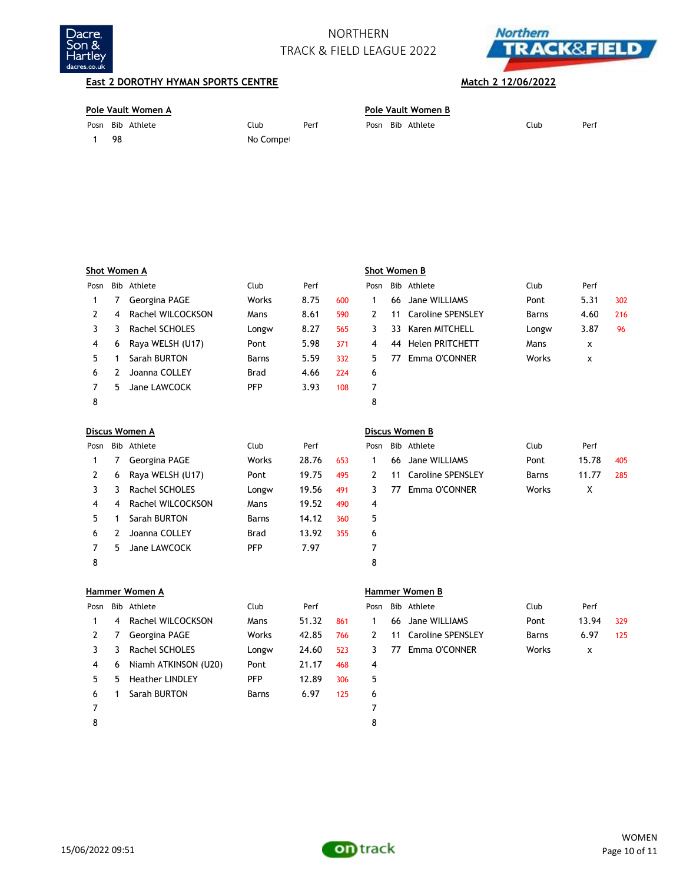



| Pole Vault Women A |           |      |  |  | Pole Vault Women B |      |      |  |  |  |  |  |
|--------------------|-----------|------|--|--|--------------------|------|------|--|--|--|--|--|
| Posn Bib Athlete   | Club      | Perf |  |  | Posn Bib Athlete   | Club | Perf |  |  |  |  |  |
| -98                | No Compet |      |  |  |                    |      |      |  |  |  |  |  |

|      |            | Shot Women A      |             |       |     |      |            | Shot Women B             |              |              |     |
|------|------------|-------------------|-------------|-------|-----|------|------------|--------------------------|--------------|--------------|-----|
| Posn | <b>Bib</b> | Athlete           | Club        | Perf  |     | Posn | <b>Bib</b> | Athlete                  | Club         | Perf         |     |
| 1    | 7          | Georgina PAGE     | Works       | 8.75  | 600 | 1    | 66         | Jane WILLIAMS            | Pont         | 5.31         | 302 |
| 2    | 4          | Rachel WILCOCKSON | Mans        | 8.61  | 590 | 2    | 11         | <b>Caroline SPENSLEY</b> | <b>Barns</b> | 4.60         | 216 |
| 3    | 3          | Rachel SCHOLES    | Longw       | 8.27  | 565 | 3    | 33         | <b>Karen MITCHELL</b>    | Longw        | 3.87         | 96  |
| 4    | 6          | Raya WELSH (U17)  | Pont        | 5.98  | 371 | 4    | 44         | <b>Helen PRITCHETT</b>   | Mans         | $\mathsf{x}$ |     |
| 5    | 1          | Sarah BURTON      | Barns       | 5.59  | 332 | 5    | 77         | Emma O'CONNER            | Works        | X            |     |
| 6    | 2          | Joanna COLLEY     | <b>Brad</b> | 4.66  | 224 | 6    |            |                          |              |              |     |
| 7    | 5          | Jane LAWCOCK      | <b>PFP</b>  | 3.93  | 108 | 7    |            |                          |              |              |     |
| 8    |            |                   |             |       |     | 8    |            |                          |              |              |     |
|      |            | Discus Women A    |             |       |     |      |            | Discus Women B           |              |              |     |
| Posn |            | Bib Athlete       | Club        | Perf  |     | Posn |            | Bib Athlete              | Club         | Perf         |     |
| 1    | 7          | Georgina PAGE     | Works       | 28.76 | 653 | 1    | 66         | Jane WILLIAMS            | Pont         | 15.78        | 405 |
| 2    | 6          | Raya WELSH (U17)  | Pont        | 19.75 | 495 | 2    | 11         | <b>Caroline SPENSLEY</b> | <b>Barns</b> | 11.77        | 285 |
| 3    | 3          | Rachel SCHOLES    | Longw       | 19.56 | 491 | 3    | 77         | Emma O'CONNER            | Works        | X            |     |
| 4    | 4          | Rachel WILCOCKSON | Mans        | 19.52 | 490 | 4    |            |                          |              |              |     |
| 5    | 1          | Sarah BURTON      | Barns       | 14.12 | 360 | 5    |            |                          |              |              |     |
| 6    | 2          | Joanna COLLEY     | <b>Brad</b> | 13.92 | 355 | 6    |            |                          |              |              |     |
| 7    | 5          | Jane LAWCOCK      | <b>PFP</b>  | 7.97  |     | 7    |            |                          |              |              |     |
| 8    |            |                   |             |       |     | 8    |            |                          |              |              |     |
|      |            | Hammer Women A    |             |       |     |      |            | <b>Hammer Women B</b>    |              |              |     |
| Posn |            | Bib Athlete       | Club        | Perf  |     | Posn |            | Bib Athlete              | Club         | Perf         |     |

| Posn |    | Bib Athlete            | Club       | Perf  |     |   |    | Posn Bib Athlete         | Club  | Perf  |     |
|------|----|------------------------|------------|-------|-----|---|----|--------------------------|-------|-------|-----|
|      | 4  | Rachel WILCOCKSON      | Mans       | 51.32 | 861 |   |    | 66 Jane WILLIAMS         | Pont  | 13.94 | 329 |
|      |    | Georgina PAGE          | Works      | 42.85 | 766 | 2 | 11 | <b>Caroline SPENSLEY</b> | Barns | 6.97  | 125 |
|      | 3  | Rachel SCHOLES         | Longw      | 24.60 | 523 | 3 | 77 | Emma O'CONNER            | Works | x     |     |
| 4    | 6  | Niamh ATKINSON (U20)   | Pont       | 21.17 | 468 | 4 |    |                          |       |       |     |
| 5.   | 5. | <b>Heather LINDLEY</b> | <b>PFP</b> | 12.89 | 306 | 5 |    |                          |       |       |     |
| 6    |    | Sarah BURTON           | Barns      | 6.97  | 125 | 6 |    |                          |       |       |     |
|      |    |                        |            |       |     |   |    |                          |       |       |     |
| 8    |    |                        |            |       |     | 8 |    |                          |       |       |     |

|  | ›sn Bib Athlete      | Club  | Perf  |     |
|--|----------------------|-------|-------|-----|
|  | 66 Jane WILLIAMS     | Pont  | 13.94 | 329 |
|  | 11 Caroline SPENSLEY | Barns | 6.97  | 125 |
|  | 3 77 Emma O'CONNER   | Works | X     |     |
|  |                      |       |       |     |